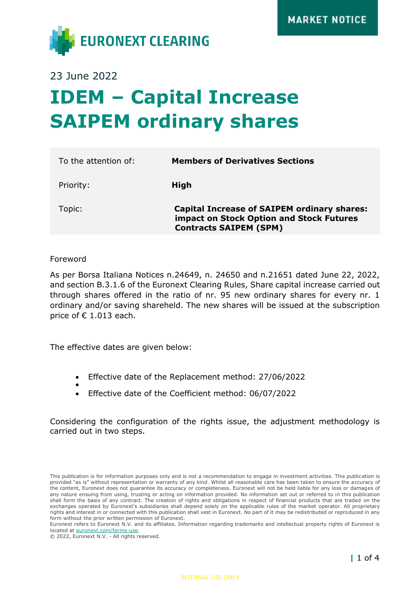

23 June 2022

# **IDEM – Capital Increase SAIPEM ordinary shares**

| To the attention of: | <b>Members of Derivatives Sections</b>                                                                                          |
|----------------------|---------------------------------------------------------------------------------------------------------------------------------|
| Priority:            | High                                                                                                                            |
| Topic:               | <b>Capital Increase of SAIPEM ordinary shares:</b><br>impact on Stock Option and Stock Futures<br><b>Contracts SAIPEM (SPM)</b> |
|                      |                                                                                                                                 |

Foreword

As per Borsa Italiana Notices n.24649, n. 24650 and n.21651 dated June 22, 2022, and section B.3.1.6 of the Euronext Clearing Rules, Share capital increase carried out through shares offered in the ratio of nr. 95 new ordinary shares for every nr. 1 ordinary and/or saving shareheld. The new shares will be issued at the subscription price of  $\epsilon$  1.013 each.

The effective dates are given below:

- Effective date of the Replacement method: 27/06/2022
- • Effective date of the Coefficient method: 06/07/2022

Considering the configuration of the rights issue, the adjustment methodology is carried out in two steps.

© 2022, Euronext N.V. - All rights reserved.

This publication is for information purposes only and is not a recommendation to engage in investment activities. This publication is provided "as is" without representation or warranty of any kind. Whilst all reasonable care has been taken to ensure the accuracy of the content, Euronext does not guarantee its accuracy or completeness. Euronext will not be held liable for any loss or damages of any nature ensuing from using, trusting or acting on information provided. No information set out or referred to in this publication shall form the basis of any contract. The creation of rights and obligations in respect of financial products that are traded on the exchanges operated by Euronext's subsidiaries shall depend solely on the applicable rules of the market operator. All proprietary rights and interest in or connected with this publication shall vest in Euronext. No part of it may be redistributed or reproduced in any form without the prior written permission of Euronext.

Euronext refers to Euronext N.V. and its affiliates. Information regarding trademarks and intellectual property rights of Euronext is located at [euronext.com/terms-use.](https://www.euronext.com/terms-use)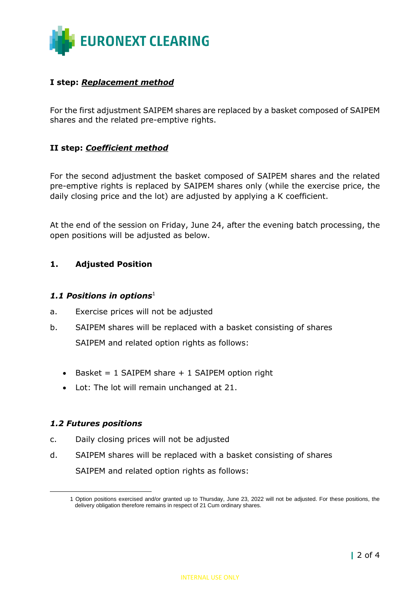

## **I step:** *Replacement method*

For the first adjustment SAIPEM shares are replaced by a basket composed of SAIPEM shares and the related pre-emptive rights.

## **II step:** *Coefficient method*

For the second adjustment the basket composed of SAIPEM shares and the related pre-emptive rights is replaced by SAIPEM shares only (while the exercise price, the daily closing price and the lot) are adjusted by applying a K coefficient.

At the end of the session on Friday, June 24, after the evening batch processing, the open positions will be adjusted as below.

## **1. Adjusted Position**

#### *1.1 Positions in options*<sup>1</sup>

- a. Exercise prices will not be adjusted
- b. SAIPEM shares will be replaced with a basket consisting of shares SAIPEM and related option rights as follows:
	- Basket =  $1$  SAIPEM share +  $1$  SAIPEM option right
	- Lot: The lot will remain unchanged at 21.

## *1.2 Futures positions*

- c. Daily closing prices will not be adjusted
- d. SAIPEM shares will be replaced with a basket consisting of shares SAIPEM and related option rights as follows:

<sup>1</sup> Option positions exercised and/or granted up to Thursday, June 23, 2022 will not be adjusted. For these positions, the delivery obligation therefore remains in respect of 21 Cum ordinary shares.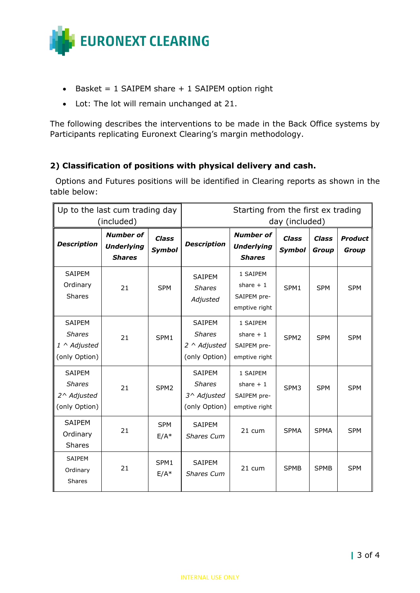

- Basket =  $1$  SAIPEM share +  $1$  SAIPEM option right
- Lot: The lot will remain unchanged at 21.

The following describes the interventions to be made in the Back Office systems by Participants replicating Euronext Clearing's margin methodology.

# **2) Classification of positions with physical delivery and cash.**

 Options and Futures positions will be identified in Clearing reports as shown in the table below:

| Up to the last cum trading day<br>(included)                   |                                                        |                               | Starting from the first ex trading<br>day (included)                   |                                                        |                               |                              |                                |
|----------------------------------------------------------------|--------------------------------------------------------|-------------------------------|------------------------------------------------------------------------|--------------------------------------------------------|-------------------------------|------------------------------|--------------------------------|
| <b>Description</b>                                             | <b>Number of</b><br><b>Underlying</b><br><b>Shares</b> | <b>Class</b><br><b>Symbol</b> | <b>Description</b>                                                     | <b>Number of</b><br><b>Underlying</b><br><b>Shares</b> | <b>Class</b><br><b>Symbol</b> | <b>Class</b><br><b>Group</b> | <b>Product</b><br><b>Group</b> |
| SAIPEM<br>Ordinary<br>Shares                                   | 21                                                     | <b>SPM</b>                    | <b>SAIPEM</b><br><b>Shares</b><br>Adjusted                             | 1 SAIPEM<br>share $+1$<br>SAIPEM pre-<br>emptive right | SPM1                          | <b>SPM</b>                   | <b>SPM</b>                     |
| SAIPEM<br><b>Shares</b><br>1 ^ Adjusted<br>(only Option)       | 21                                                     | SPM1                          | <b>SAIPEM</b><br><b>Shares</b><br>$2 \wedge$ Adjusted<br>(only Option) | 1 SAIPEM<br>share $+1$<br>SAIPEM pre-<br>emptive right | SPM <sub>2</sub>              | <b>SPM</b>                   | <b>SPM</b>                     |
| <b>SAIPEM</b><br><b>Shares</b><br>2^ Adjusted<br>(only Option) | 21                                                     | SPM <sub>2</sub>              | <b>SAIPEM</b><br><b>Shares</b><br>3^ Adjusted<br>(only Option)         | 1 SAIPEM<br>share $+1$<br>SAIPEM pre-<br>emptive right | SPM3                          | <b>SPM</b>                   | <b>SPM</b>                     |
| <b>SAIPEM</b><br>Ordinary<br><b>Shares</b>                     | 21                                                     | <b>SPM</b><br>$E/A*$          | SAIPEM<br>Shares Cum                                                   | 21 cum                                                 | <b>SPMA</b>                   | <b>SPMA</b>                  | <b>SPM</b>                     |
| <b>SAIPEM</b><br>Ordinary<br><b>Shares</b>                     | 21                                                     | SPM1<br>$E/A*$                | SAIPEM<br><b>Shares Cum</b>                                            | 21 cum                                                 | <b>SPMB</b>                   | <b>SPMB</b>                  | <b>SPM</b>                     |